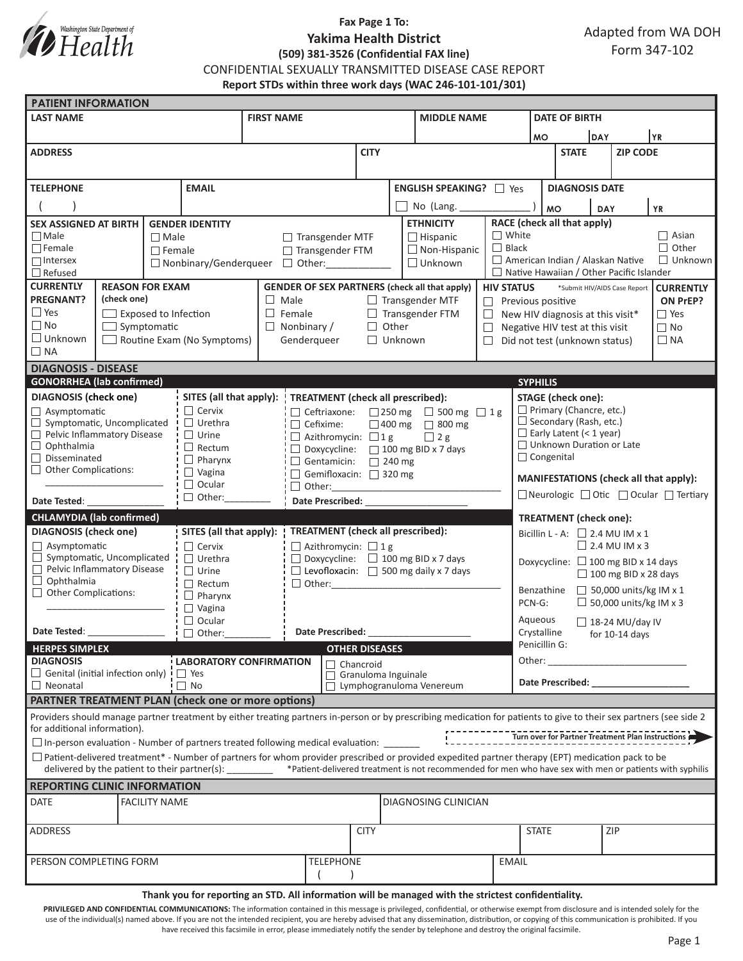

# **Fax Page 1 To: Yakima Health District (509) 381-3526 (Confidential FAX line)**

Adapted from WA DOH Form 347-102

CONFIDENTIAL SEXUALLY TRANSMITTED DISEASE CASE REPORT

**Report STDs within three work days (WAC 246-101-101/301)**

| <b>PATIENT INFORMATION</b>                                                                                                                                                                                                                               |                                                                                                                                                                                                                                                                                                                                                                                                                        |               |                                                                                                                       |                                                    |                                                   |                                         |             |                          |                                    |                                                                                          |                                                                 |                                                 |                 |              |  |  |
|----------------------------------------------------------------------------------------------------------------------------------------------------------------------------------------------------------------------------------------------------------|------------------------------------------------------------------------------------------------------------------------------------------------------------------------------------------------------------------------------------------------------------------------------------------------------------------------------------------------------------------------------------------------------------------------|---------------|-----------------------------------------------------------------------------------------------------------------------|----------------------------------------------------|---------------------------------------------------|-----------------------------------------|-------------|--------------------------|------------------------------------|------------------------------------------------------------------------------------------|-----------------------------------------------------------------|-------------------------------------------------|-----------------|--------------|--|--|
| <b>LAST NAME</b>                                                                                                                                                                                                                                         |                                                                                                                                                                                                                                                                                                                                                                                                                        |               |                                                                                                                       | <b>FIRST NAME</b>                                  |                                                   |                                         |             |                          | <b>MIDDLE NAME</b>                 |                                                                                          |                                                                 | <b>DATE OF BIRTH</b>                            |                 |              |  |  |
|                                                                                                                                                                                                                                                          |                                                                                                                                                                                                                                                                                                                                                                                                                        |               |                                                                                                                       |                                                    |                                                   |                                         |             |                          |                                    |                                                                                          | <b>DAY</b><br><b>MO</b>                                         |                                                 |                 | YR           |  |  |
| <b>ADDRESS</b>                                                                                                                                                                                                                                           |                                                                                                                                                                                                                                                                                                                                                                                                                        |               |                                                                                                                       |                                                    |                                                   | <b>CITY</b>                             |             |                          |                                    |                                                                                          | <b>STATE</b>                                                    |                                                 | <b>ZIP CODE</b> |              |  |  |
|                                                                                                                                                                                                                                                          |                                                                                                                                                                                                                                                                                                                                                                                                                        |               |                                                                                                                       |                                                    |                                                   |                                         |             |                          |                                    |                                                                                          |                                                                 |                                                 |                 |              |  |  |
| <b>TELEPHONE</b><br><b>EMAIL</b>                                                                                                                                                                                                                         |                                                                                                                                                                                                                                                                                                                                                                                                                        |               |                                                                                                                       | <b>ENGLISH SPEAKING?</b> □ Yes                     |                                                   |                                         |             |                          |                                    |                                                                                          | <b>DIAGNOSIS DATE</b>                                           |                                                 |                 |              |  |  |
|                                                                                                                                                                                                                                                          |                                                                                                                                                                                                                                                                                                                                                                                                                        |               | No (Lang.                                                                                                             |                                                    |                                                   |                                         |             |                          | <b>MO</b><br><b>YR</b>             |                                                                                          |                                                                 |                                                 |                 |              |  |  |
| <b>SEX ASSIGNED AT BIRTH</b><br><b>GENDER IDENTITY</b>                                                                                                                                                                                                   |                                                                                                                                                                                                                                                                                                                                                                                                                        |               | <b>ETHNICITY</b>                                                                                                      |                                                    |                                                   |                                         |             |                          | DAY<br>RACE (check all that apply) |                                                                                          |                                                                 |                                                 |                 |              |  |  |
| $\Box$ Male                                                                                                                                                                                                                                              |                                                                                                                                                                                                                                                                                                                                                                                                                        |               | $\Box$ Male<br>$\Box$ Transgender MTF                                                                                 |                                                    |                                                   |                                         |             |                          | $\Box$ Hispanic                    | $\Box$ White                                                                             | $\Box$ Asian                                                    |                                                 |                 |              |  |  |
| $\Box$ Female                                                                                                                                                                                                                                            |                                                                                                                                                                                                                                                                                                                                                                                                                        | $\Box$ Female |                                                                                                                       | □ Transgender FTM                                  |                                                   |                                         |             | $\Box$ Non-Hispanic      | $\Box$ Black                       |                                                                                          |                                                                 |                                                 |                 | $\Box$ Other |  |  |
| $\Box$ Intersex                                                                                                                                                                                                                                          |                                                                                                                                                                                                                                                                                                                                                                                                                        |               |                                                                                                                       | $\Box$ Unknown<br>□ Nonbinary/Genderqueer □ Other: |                                                   |                                         |             |                          |                                    |                                                                                          | American Indian / Alaskan Native<br>$\Box$ Unknown              |                                                 |                 |              |  |  |
| $\Box$ Refused<br><b>CURRENTLY</b>                                                                                                                                                                                                                       |                                                                                                                                                                                                                                                                                                                                                                                                                        |               |                                                                                                                       |                                                    |                                                   |                                         |             |                          |                                    | $\Box$ Native Hawaiian / Other Pacific Islander                                          |                                                                 |                                                 |                 |              |  |  |
| <b>REASON FOR EXAM</b><br><b>PREGNANT?</b><br>(check one)                                                                                                                                                                                                |                                                                                                                                                                                                                                                                                                                                                                                                                        |               | <b>GENDER OF SEX PARTNERS (check all that apply)</b><br>$\Box$ Male<br>$\Box$ Transgender MTF                         |                                                    |                                                   |                                         |             |                          | <b>HIV STATUS</b>                  | *Submit HIV/AIDS Case Report<br><b>CURRENTLY</b><br>$\Box$ Previous positive<br>ON PrEP? |                                                                 |                                                 |                 |              |  |  |
| $\Box$ Yes                                                                                                                                                                                                                                               | $\Box$ Exposed to Infection                                                                                                                                                                                                                                                                                                                                                                                            |               |                                                                                                                       |                                                    | $\Box$ Female<br>$\Box$ Transgender FTM           |                                         |             |                          |                                    |                                                                                          | $\Box$ Yes<br>$\Box$ New HIV diagnosis at this visit*           |                                                 |                 |              |  |  |
| $\Box$ No                                                                                                                                                                                                                                                | $\Box$ Symptomatic                                                                                                                                                                                                                                                                                                                                                                                                     |               |                                                                                                                       | $\Box$ Nonbinary /<br>$\Box$ Other<br>$\Box$       |                                                   |                                         |             |                          |                                    |                                                                                          | $\Box$ No<br>Negative HIV test at this visit                    |                                                 |                 |              |  |  |
| $\Box$ Unknown<br>$\Box$ Routine Exam (No Symptoms)                                                                                                                                                                                                      |                                                                                                                                                                                                                                                                                                                                                                                                                        |               |                                                                                                                       | Genderqueer<br>$\Box$ Unknown                      |                                                   |                                         |             |                          |                                    |                                                                                          | $\Box$ Did not test (unknown status)<br>$\Box$ NA               |                                                 |                 |              |  |  |
| $\Box$ NA                                                                                                                                                                                                                                                |                                                                                                                                                                                                                                                                                                                                                                                                                        |               |                                                                                                                       |                                                    |                                                   |                                         |             |                          |                                    |                                                                                          |                                                                 |                                                 |                 |              |  |  |
| <b>DIAGNOSIS - DISEASE</b>                                                                                                                                                                                                                               |                                                                                                                                                                                                                                                                                                                                                                                                                        |               |                                                                                                                       |                                                    |                                                   |                                         |             |                          |                                    |                                                                                          |                                                                 |                                                 |                 |              |  |  |
| <b>GONORRHEA</b> (lab confirmed)                                                                                                                                                                                                                         |                                                                                                                                                                                                                                                                                                                                                                                                                        |               |                                                                                                                       |                                                    |                                                   |                                         |             |                          | <b>SYPHILIS</b>                    |                                                                                          |                                                                 |                                                 |                 |              |  |  |
| <b>DIAGNOSIS</b> (check one)                                                                                                                                                                                                                             |                                                                                                                                                                                                                                                                                                                                                                                                                        |               | SITES (all that apply):<br>$\Box$ Cervix                                                                              |                                                    | <b>TREATMENT</b> (check all prescribed):          |                                         |             |                          |                                    | <b>STAGE</b> (check one):                                                                |                                                                 |                                                 |                 |              |  |  |
| $\Box$ Asymptomatic<br>$\Box$ Symptomatic, Uncomplicated                                                                                                                                                                                                 |                                                                                                                                                                                                                                                                                                                                                                                                                        |               | $\Box$ Ceftriaxone: $\Box$ 250 mg $\Box$ 500 mg $\Box$ 1 g<br>$\Box$ Urethra<br>$\Box$ Cefixime:<br>□ 400 mg □ 800 mg |                                                    |                                                   |                                         |             |                          |                                    |                                                                                          | $\Box$ Primary (Chancre, etc.)<br>$\Box$ Secondary (Rash, etc.) |                                                 |                 |              |  |  |
| Pelvic Inflammatory Disease                                                                                                                                                                                                                              |                                                                                                                                                                                                                                                                                                                                                                                                                        |               | $\Box$ Urine<br>$\Box$ Azithromycin: $\Box$ 1 g<br>$\Box$ 2 g                                                         |                                                    |                                                   |                                         |             |                          |                                    |                                                                                          | $\Box$ Early Latent (< 1 year)                                  |                                                 |                 |              |  |  |
| $\Box$ Ophthalmia                                                                                                                                                                                                                                        |                                                                                                                                                                                                                                                                                                                                                                                                                        |               | $\Box$ Rectum<br>$\Box$ Doxycycline: $\Box$ 100 mg BID x 7 days                                                       |                                                    |                                                   |                                         |             |                          |                                    |                                                                                          | $\Box$ Unknown Duration or Late                                 |                                                 |                 |              |  |  |
| $\Box$ Disseminated<br>$\Box$ Other Complications:                                                                                                                                                                                                       |                                                                                                                                                                                                                                                                                                                                                                                                                        |               |                                                                                                                       | $\Box$ Pharynx<br>$\Box$ Gentamicin: $\Box$ 240 mg |                                                   |                                         |             |                          |                                    |                                                                                          | □ Congenital                                                    |                                                 |                 |              |  |  |
|                                                                                                                                                                                                                                                          |                                                                                                                                                                                                                                                                                                                                                                                                                        |               | $\Box$ Vagina<br>Gemifloxacin: 320 mg<br>$\Box$ Ocular                                                                |                                                    |                                                   |                                         |             |                          |                                    |                                                                                          | MANIFESTATIONS (check all that apply):                          |                                                 |                 |              |  |  |
| $\Box$ Other:<br>Date Tested:                                                                                                                                                                                                                            |                                                                                                                                                                                                                                                                                                                                                                                                                        |               | Date Prescribed: National Prescribed:                                                                                 |                                                    |                                                   |                                         |             |                          |                                    | $\Box$ Neurologic $\Box$ Otic $\Box$ Ocular $\Box$ Tertiary                              |                                                                 |                                                 |                 |              |  |  |
| <b>CHLAMYDIA (lab confirmed)</b>                                                                                                                                                                                                                         |                                                                                                                                                                                                                                                                                                                                                                                                                        |               |                                                                                                                       |                                                    |                                                   |                                         |             |                          |                                    |                                                                                          |                                                                 |                                                 |                 |              |  |  |
| SITES (all that apply):<br><b>DIAGNOSIS</b> (check one)                                                                                                                                                                                                  |                                                                                                                                                                                                                                                                                                                                                                                                                        |               | <b>TREATMENT</b> (check all prescribed):                                                                              |                                                    |                                                   |                                         |             |                          |                                    | <b>TREATMENT</b> (check one):<br>Bicillin L - A: $\Box$ 2.4 MU IM x 1                    |                                                                 |                                                 |                 |              |  |  |
| $\Box$ Asymptomatic                                                                                                                                                                                                                                      |                                                                                                                                                                                                                                                                                                                                                                                                                        | $\Box$ Cervix |                                                                                                                       | $\Box$ Azithromycin: $\Box$ 1 g                    |                                                   |                                         |             |                          | $\Box$ 2.4 MU IM x 3               |                                                                                          |                                                                 |                                                 |                 |              |  |  |
| $\Box$ Symptomatic, Uncomplicated                                                                                                                                                                                                                        |                                                                                                                                                                                                                                                                                                                                                                                                                        |               | $\Box$ Urethra                                                                                                        |                                                    | $\Box$ Doxycycline: $\Box$ 100 mg BID x 7 days    |                                         |             |                          |                                    | Doxycycline: □ 100 mg BID x 14 days                                                      |                                                                 |                                                 |                 |              |  |  |
| Pelvic Inflammatory Disease<br>$\Box$ Ophthalmia                                                                                                                                                                                                         |                                                                                                                                                                                                                                                                                                                                                                                                                        |               | $\Box$ Urine                                                                                                          |                                                    | $\Box$ Levofloxacin: $\Box$ 500 mg daily x 7 days |                                         |             |                          |                                    |                                                                                          | $\Box$ 100 mg BID x 28 days                                     |                                                 |                 |              |  |  |
| $\Box$ Other Complications:                                                                                                                                                                                                                              |                                                                                                                                                                                                                                                                                                                                                                                                                        |               | $\Box$ Rectum<br>$\Box$ Pharynx                                                                                       |                                                    |                                                   |                                         |             |                          |                                    | $\Box$ 50,000 units/kg IM x 1<br>Benzathine                                              |                                                                 |                                                 |                 |              |  |  |
|                                                                                                                                                                                                                                                          |                                                                                                                                                                                                                                                                                                                                                                                                                        |               | $\Box$ Vagina                                                                                                         |                                                    |                                                   |                                         |             |                          |                                    | $\Box$ 50,000 units/kg IM x 3<br>PCN-G:                                                  |                                                                 |                                                 |                 |              |  |  |
| $\Box$ Ocular                                                                                                                                                                                                                                            |                                                                                                                                                                                                                                                                                                                                                                                                                        |               |                                                                                                                       |                                                    |                                                   |                                         |             |                          |                                    |                                                                                          | Aqueous<br>$\Box$ 18-24 MU/day IV                               |                                                 |                 |              |  |  |
| Date Tested:<br>$\Box$ Other:                                                                                                                                                                                                                            |                                                                                                                                                                                                                                                                                                                                                                                                                        |               | Date Prescribed:                                                                                                      |                                                    |                                                   |                                         |             |                          |                                    | Crystalline<br>for $10-14$ days                                                          |                                                                 |                                                 |                 |              |  |  |
| <b>HERPES SIMPLEX</b><br><b>DIAGNOSIS</b>                                                                                                                                                                                                                |                                                                                                                                                                                                                                                                                                                                                                                                                        |               |                                                                                                                       |                                                    | <b>OTHER DISEASES</b>                             |                                         |             |                          |                                    |                                                                                          | Penicillin G:                                                   |                                                 |                 |              |  |  |
| $\Box$ Genital (initial infection only) $\vdash$ $\Box$ Yes                                                                                                                                                                                              |                                                                                                                                                                                                                                                                                                                                                                                                                        |               | <b>LABORATORY CONFIRMATION</b>                                                                                        |                                                    |                                                   | Chancroid<br>$\Box$ Granuloma Inguinale |             |                          |                                    |                                                                                          |                                                                 | Other:<br><u> 1990 - Johann Barbara, martxa</u> |                 |              |  |  |
| $\Box$ Neonatal                                                                                                                                                                                                                                          |                                                                                                                                                                                                                                                                                                                                                                                                                        | $\Box$ No     |                                                                                                                       |                                                    |                                                   |                                         |             | Lymphogranuloma Venereum |                                    |                                                                                          | Date Prescribed: Note that the prescribed:                      |                                                 |                 |              |  |  |
| PARTNER TREATMENT PLAN (check one or more options)                                                                                                                                                                                                       |                                                                                                                                                                                                                                                                                                                                                                                                                        |               |                                                                                                                       |                                                    |                                                   |                                         |             |                          |                                    |                                                                                          |                                                                 |                                                 |                 |              |  |  |
| Providers should manage partner treatment by either treating partners in-person or by prescribing medication for patients to give to their sex partners (see side 2<br>for additional information).<br>Turn over for Partner Treatment Plan Instructions |                                                                                                                                                                                                                                                                                                                                                                                                                        |               |                                                                                                                       |                                                    |                                                   |                                         |             |                          |                                    |                                                                                          |                                                                 |                                                 |                 |              |  |  |
|                                                                                                                                                                                                                                                          |                                                                                                                                                                                                                                                                                                                                                                                                                        |               |                                                                                                                       |                                                    |                                                   |                                         |             |                          |                                    |                                                                                          |                                                                 |                                                 |                 |              |  |  |
|                                                                                                                                                                                                                                                          | $\square$ In-person evaluation - Number of partners treated following medical evaluation:<br>$\Box$ Patient-delivered treatment* - Number of partners for whom provider prescribed or provided expedited partner therapy (EPT) medication pack to be<br>delivered by the patient to their partner(s): ________ *Patient-delivered treatment is not recommended for men who have sex with men or patients with syphilis |               |                                                                                                                       |                                                    |                                                   |                                         |             |                          |                                    |                                                                                          |                                                                 |                                                 |                 |              |  |  |
|                                                                                                                                                                                                                                                          |                                                                                                                                                                                                                                                                                                                                                                                                                        |               |                                                                                                                       |                                                    |                                                   |                                         |             |                          |                                    |                                                                                          |                                                                 |                                                 |                 |              |  |  |
| <b>REPORTING CLINIC INFORMATION</b>                                                                                                                                                                                                                      |                                                                                                                                                                                                                                                                                                                                                                                                                        |               |                                                                                                                       |                                                    |                                                   |                                         |             |                          |                                    |                                                                                          |                                                                 |                                                 |                 |              |  |  |
| DATE<br><b>FACILITY NAME</b>                                                                                                                                                                                                                             |                                                                                                                                                                                                                                                                                                                                                                                                                        |               |                                                                                                                       |                                                    |                                                   |                                         |             |                          | DIAGNOSING CLINICIAN               |                                                                                          |                                                                 |                                                 |                 |              |  |  |
| ADDRESS                                                                                                                                                                                                                                                  |                                                                                                                                                                                                                                                                                                                                                                                                                        |               |                                                                                                                       |                                                    |                                                   |                                         | <b>CITY</b> |                          |                                    |                                                                                          | <b>STATE</b>                                                    |                                                 |                 | <b>ZIP</b>   |  |  |
|                                                                                                                                                                                                                                                          |                                                                                                                                                                                                                                                                                                                                                                                                                        |               |                                                                                                                       |                                                    |                                                   |                                         |             |                          |                                    |                                                                                          |                                                                 |                                                 |                 |              |  |  |
| PERSON COMPLETING FORM                                                                                                                                                                                                                                   |                                                                                                                                                                                                                                                                                                                                                                                                                        |               |                                                                                                                       |                                                    |                                                   | <b>TELEPHONE</b>                        |             |                          |                                    | <b>EMAIL</b>                                                                             |                                                                 |                                                 |                 |              |  |  |
|                                                                                                                                                                                                                                                          |                                                                                                                                                                                                                                                                                                                                                                                                                        |               | Thank you for reporting an STD, All information will be managed with the strictest confidentiality                    |                                                    |                                                   |                                         |             |                          |                                    |                                                                                          |                                                                 |                                                 |                 |              |  |  |

**Thank you for reporting an STD. All information will be managed with the strictest confidentiality.** 

PRIVILEGED AND CONFIDENTIAL COMMUNICATIONS: The information contained in this message is privileged, confidential, or otherwise exempt from disclosure and is intended solely for the use of the individual(s) named above. If you are not the intended recipient, you are hereby advised that any dissemination, distribution, or copying of this communication is prohibited. If you have received this facsimile in error, please immediately notify the sender by telephone and destroy the original facsimile.